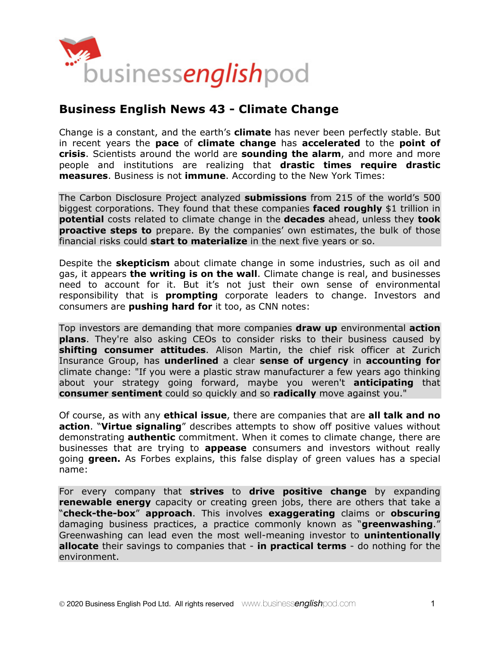

# **Business English News 43 - Climate Change**

Change is a constant, and the earth's **climate** has never been perfectly stable. But in recent years the **pace** of **climate change** has **accelerated** to the **point of crisis**. Scientists around the world are **sounding the alarm**, and more and more people and institutions are realizing that **drastic times require drastic measures**. Business is not **immune**. According to the New York Times:

The Carbon Disclosure Project analyzed **submissions** from 215 of the world's 500 biggest corporations. They found that these companies **faced roughly** \$1 trillion in **potential** costs related to climate change in the **decades** ahead, unless they **took proactive steps to** prepare. By the companies' own estimates, the bulk of those financial risks could **start to materialize** in the next five years or so.

Despite the **skepticism** about climate change in some industries, such as oil and gas, it appears **the writing is on the wall**. Climate change is real, and businesses need to account for it. But it's not just their own sense of environmental responsibility that is **prompting** corporate leaders to change. Investors and consumers are **pushing hard for** it too, as CNN notes:

Top investors are demanding that more companies **draw up** environmental **action plans**. They're also asking CEOs to consider risks to their business caused by **shifting consumer attitudes**. Alison Martin, the chief risk officer at Zurich Insurance Group, has **underlined** a clear **sense of urgency** in **accounting for**  climate change: "If you were a plastic straw manufacturer a few years ago thinking about your strategy going forward, maybe you weren't **anticipating** that **consumer sentiment** could so quickly and so **radically** move against you."

Of course, as with any **ethical issue**, there are companies that are **all talk and no action**. "**Virtue signaling**" describes attempts to show off positive values without demonstrating **authentic** commitment. When it comes to climate change, there are businesses that are trying to **appease** consumers and investors without really going **green.** As Forbes explains, this false display of green values has a special name:

For every company that **strives** to **drive positive change** by expanding **renewable energy** capacity or creating green jobs, there are others that take a "**check-the-box**" **approach**. This involves **exaggerating** claims or **obscuring** damaging business practices, a practice commonly known as "**greenwashing**." Greenwashing can lead even the most well-meaning investor to **unintentionally allocate** their savings to companies that - **in practical terms** - do nothing for the environment.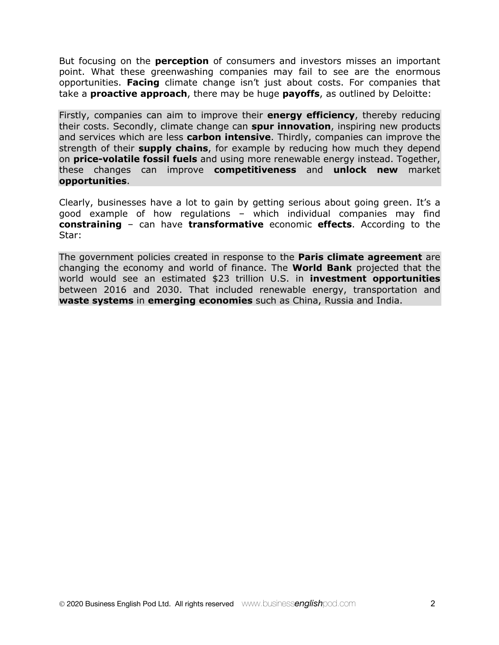But focusing on the **perception** of consumers and investors misses an important point. What these greenwashing companies may fail to see are the enormous opportunities. **Facing** climate change isn't just about costs. For companies that take a **proactive approach**, there may be huge **payoffs**, as outlined by Deloitte:

Firstly, companies can aim to improve their **energy efficiency**, thereby reducing their costs. Secondly, climate change can **spur innovation**, inspiring new products and services which are less **carbon intensive**. Thirdly, companies can improve the strength of their **supply chains**, for example by reducing how much they depend on **price-volatile fossil fuels** and using more renewable energy instead. Together, these changes can improve **competitiveness** and **unlock new** market **opportunities**.

Clearly, businesses have a lot to gain by getting serious about going green. It's a good example of how regulations – which individual companies may find **constraining** – can have **transformative** economic **effects**. According to the Star:

The government policies created in response to the **Paris climate agreement** are changing the economy and world of finance. The **World Bank** projected that the world would see an estimated \$23 trillion U.S. in **investment opportunities** between 2016 and 2030. That included renewable energy, transportation and **waste systems** in **emerging economies** such as China, Russia and India.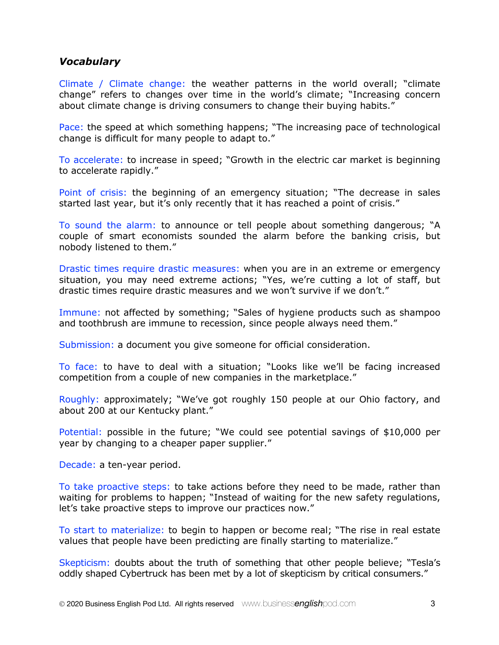## *Vocabulary*

Climate / Climate change: the weather patterns in the world overall; "climate change" refers to changes over time in the world's climate; "Increasing concern about climate change is driving consumers to change their buying habits."

Pace: the speed at which something happens; "The increasing pace of technological change is difficult for many people to adapt to."

To accelerate: to increase in speed; "Growth in the electric car market is beginning to accelerate rapidly."

Point of crisis: the beginning of an emergency situation; "The decrease in sales started last year, but it's only recently that it has reached a point of crisis."

To sound the alarm: to announce or tell people about something dangerous; "A couple of smart economists sounded the alarm before the banking crisis, but nobody listened to them."

Drastic times require drastic measures: when you are in an extreme or emergency situation, you may need extreme actions; "Yes, we're cutting a lot of staff, but drastic times require drastic measures and we won't survive if we don't."

Immune: not affected by something; "Sales of hygiene products such as shampoo and toothbrush are immune to recession, since people always need them."

Submission: a document you give someone for official consideration.

To face: to have to deal with a situation; "Looks like we'll be facing increased competition from a couple of new companies in the marketplace."

Roughly: approximately; "We've got roughly 150 people at our Ohio factory, and about 200 at our Kentucky plant."

Potential: possible in the future; "We could see potential savings of \$10,000 per year by changing to a cheaper paper supplier."

Decade: a ten-year period.

To take proactive steps: to take actions before they need to be made, rather than waiting for problems to happen; "Instead of waiting for the new safety regulations, let's take proactive steps to improve our practices now."

To start to materialize: to begin to happen or become real; "The rise in real estate values that people have been predicting are finally starting to materialize."

Skepticism: doubts about the truth of something that other people believe; "Tesla's oddly shaped Cybertruck has been met by a lot of skepticism by critical consumers."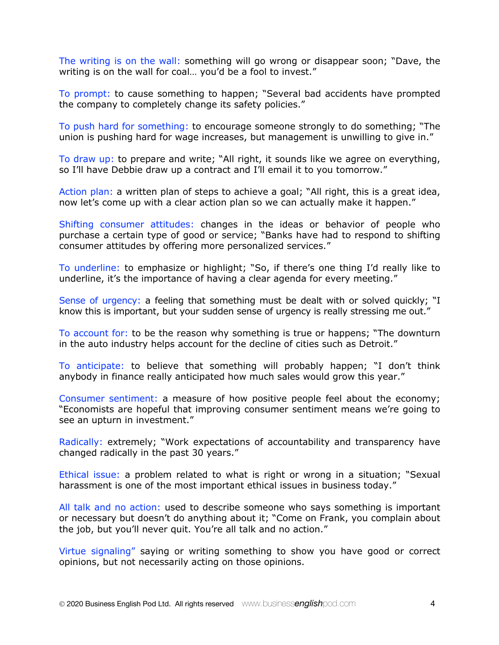The writing is on the wall: something will go wrong or disappear soon; "Dave, the writing is on the wall for coal... you'd be a fool to invest."

To prompt: to cause something to happen; "Several bad accidents have prompted the company to completely change its safety policies."

To push hard for something: to encourage someone strongly to do something; "The union is pushing hard for wage increases, but management is unwilling to give in."

To draw up: to prepare and write; "All right, it sounds like we agree on everything, so I'll have Debbie draw up a contract and I'll email it to you tomorrow."

Action plan: a written plan of steps to achieve a goal; "All right, this is a great idea, now let's come up with a clear action plan so we can actually make it happen."

Shifting consumer attitudes: changes in the ideas or behavior of people who purchase a certain type of good or service; "Banks have had to respond to shifting consumer attitudes by offering more personalized services."

To underline: to emphasize or highlight; "So, if there's one thing I'd really like to underline, it's the importance of having a clear agenda for every meeting."

Sense of urgency: a feeling that something must be dealt with or solved quickly; "I know this is important, but your sudden sense of urgency is really stressing me out."

To account for: to be the reason why something is true or happens; "The downturn in the auto industry helps account for the decline of cities such as Detroit."

To anticipate: to believe that something will probably happen; "I don't think anybody in finance really anticipated how much sales would grow this year."

Consumer sentiment: a measure of how positive people feel about the economy; "Economists are hopeful that improving consumer sentiment means we're going to see an upturn in investment."

Radically: extremely; "Work expectations of accountability and transparency have changed radically in the past 30 years."

Ethical issue: a problem related to what is right or wrong in a situation; "Sexual harassment is one of the most important ethical issues in business today."

All talk and no action: used to describe someone who says something is important or necessary but doesn't do anything about it; "Come on Frank, you complain about the job, but you'll never quit. You're all talk and no action."

Virtue signaling" saying or writing something to show you have good or correct opinions, but not necessarily acting on those opinions.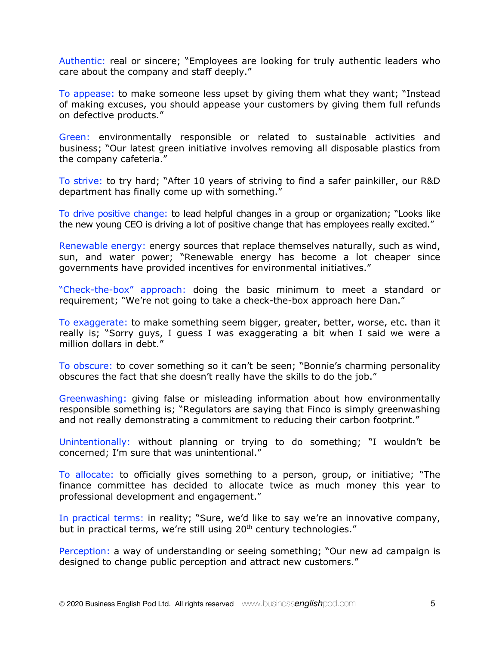Authentic: real or sincere; "Employees are looking for truly authentic leaders who care about the company and staff deeply."

To appease: to make someone less upset by giving them what they want; "Instead of making excuses, you should appease your customers by giving them full refunds on defective products."

Green: environmentally responsible or related to sustainable activities and business; "Our latest green initiative involves removing all disposable plastics from the company cafeteria."

To strive: to try hard; "After 10 years of striving to find a safer painkiller, our R&D department has finally come up with something."

To drive positive change: to lead helpful changes in a group or organization; "Looks like the new young CEO is driving a lot of positive change that has employees really excited."

Renewable energy: energy sources that replace themselves naturally, such as wind, sun, and water power; "Renewable energy has become a lot cheaper since governments have provided incentives for environmental initiatives."

"Check-the-box" approach: doing the basic minimum to meet a standard or requirement; "We're not going to take a check-the-box approach here Dan."

To exaggerate: to make something seem bigger, greater, better, worse, etc. than it really is; "Sorry guys, I guess I was exaggerating a bit when I said we were a million dollars in debt."

To obscure: to cover something so it can't be seen; "Bonnie's charming personality obscures the fact that she doesn't really have the skills to do the job."

Greenwashing: giving false or misleading information about how environmentally responsible something is; "Regulators are saying that Finco is simply greenwashing and not really demonstrating a commitment to reducing their carbon footprint."

Unintentionally: without planning or trying to do something; "I wouldn't be concerned; I'm sure that was unintentional."

To allocate: to officially gives something to a person, group, or initiative; "The finance committee has decided to allocate twice as much money this year to professional development and engagement."

In practical terms: in reality; "Sure, we'd like to say we're an innovative company, but in practical terms, we're still using 20<sup>th</sup> century technologies."

Perception: a way of understanding or seeing something; "Our new ad campaign is designed to change public perception and attract new customers."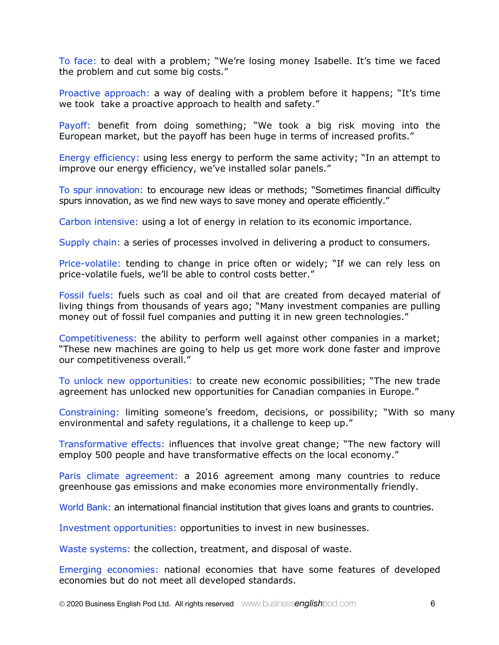To face: to deal with a problem; "We're losing money Isabelle. It's time we faced the problem and cut some big costs."

Proactive approach: a way of dealing with a problem before it happens; "It's time we took take a proactive approach to health and safety."

Payoff: benefit from doing something; "We took a big risk moving into the European market, but the payoff has been huge in terms of increased profits."

Energy efficiency: using less energy to perform the same activity; "In an attempt to improve our energy efficiency, we've installed solar panels."

To spur innovation: to encourage new ideas or methods; "Sometimes financial difficulty spurs innovation, as we find new ways to save money and operate efficiently."

Carbon intensive: using a lot of energy in relation to its economic importance.

Supply chain: a series of processes involved in delivering a product to consumers.

Price-volatile: tending to change in price often or widely; "If we can rely less on price-volatile fuels, we'll be able to control costs better."

Fossil fuels: fuels such as coal and oil that are created from decayed material of living things from thousands of years ago; "Many investment companies are pulling money out of fossil fuel companies and putting it in new green technologies."

Competitiveness: the ability to perform well against other companies in a market; "These new machines are going to help us get more work done faster and improve our competitiveness overall."

To unlock new opportunities: to create new economic possibilities; "The new trade agreement has unlocked new opportunities for Canadian companies in Europe."

Constraining: limiting someone's freedom, decisions, or possibility; "With so many environmental and safety regulations, it a challenge to keep up."

Transformative effects: influences that involve great change; "The new factory will employ 500 people and have transformative effects on the local economy."

Paris climate agreement: a 2016 agreement among many countries to reduce greenhouse gas emissions and make economies more environmentally friendly.

World Bank: an international financial institution that gives loans and grants to countries.

Investment opportunities: opportunities to invest in new businesses.

Waste systems: the collection, treatment, and disposal of waste.

Emerging economies: national economies that have some features of developed economies but do not meet all developed standards.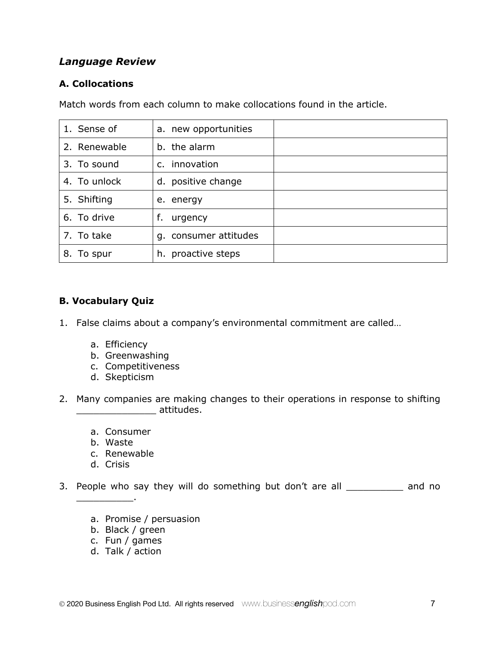# *Language Review*

## **A. Collocations**

Match words from each column to make collocations found in the article.

| 1. Sense of   | a. new opportunities  |  |
|---------------|-----------------------|--|
| 2. Renewable  | b. the alarm          |  |
| 3. To sound   | c. innovation         |  |
| 4. To unlock  | d. positive change    |  |
| 5. Shifting   | e. energy             |  |
| 6. To drive   | f.<br>urgency         |  |
| 7. To take    | g. consumer attitudes |  |
| To spur<br>8. | h. proactive steps    |  |

### **B. Vocabulary Quiz**

- 1. False claims about a company's environmental commitment are called…
	- a. Efficiency
	- b. Greenwashing
	- c. Competitiveness
	- d. Skepticism
- 2. Many companies are making changes to their operations in response to shifting  $\blacksquare$  attitudes.
	- a. Consumer
	- b. Waste
	- c. Renewable
	- d. Crisis

 $\overline{\phantom{a}}$  .

- 3. People who say they will do something but don't are all \_\_\_\_\_\_\_\_\_\_ and no
	- a. Promise / persuasion
	- b. Black / green
	- c. Fun / games
	- d. Talk / action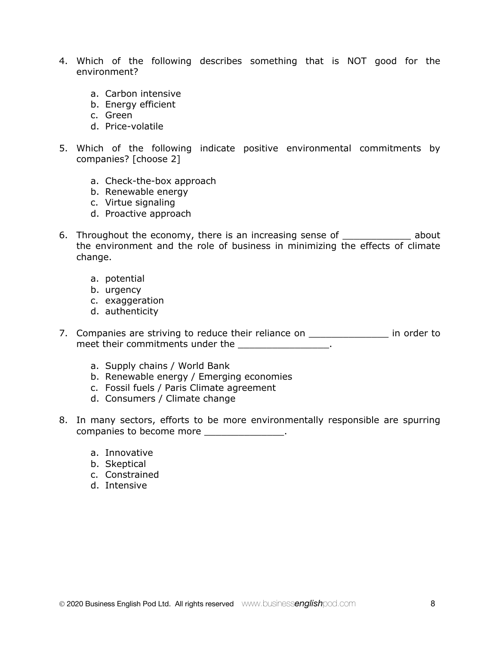- 4. Which of the following describes something that is NOT good for the environment?
	- a. Carbon intensive
	- b. Energy efficient
	- c. Green
	- d. Price-volatile
- 5. Which of the following indicate positive environmental commitments by companies? [choose 2]
	- a. Check-the-box approach
	- b. Renewable energy
	- c. Virtue signaling
	- d. Proactive approach
- 6. Throughout the economy, there is an increasing sense of \_\_\_\_\_\_\_\_\_\_\_\_ about the environment and the role of business in minimizing the effects of climate change.
	- a. potential
	- b. urgency
	- c. exaggeration
	- d. authenticity
- 7. Companies are striving to reduce their reliance on \_\_\_\_\_\_\_\_\_\_\_\_\_\_\_\_\_ in order to meet their commitments under the \_\_\_\_\_\_\_\_\_\_\_\_\_\_\_\_\_\_.
	- a. Supply chains / World Bank
	- b. Renewable energy / Emerging economies
	- c. Fossil fuels / Paris Climate agreement
	- d. Consumers / Climate change
- 8. In many sectors, efforts to be more environmentally responsible are spurring companies to become more more and the companies of  $\sim$ 
	- a. Innovative
	- b. Skeptical
	- c. Constrained
	- d. Intensive